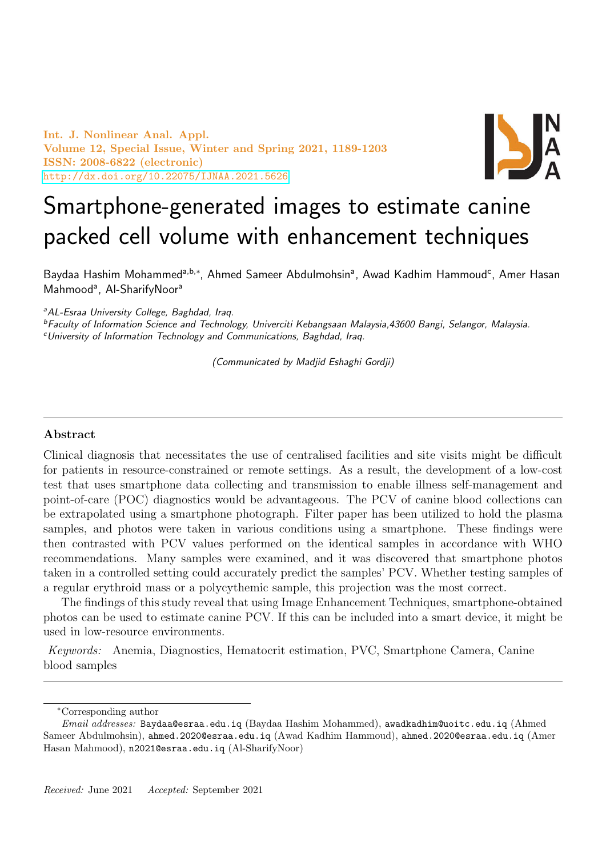Int. J. Nonlinear Anal. Appl. Volume 12, Special Issue, Winter and Spring 2021, 1189-1203 ISSN: 2008-6822 (electronic) <http://dx.doi.org/10.22075/IJNAA.2021.5626>



# Smartphone-generated images to estimate canine packed cell volume with enhancement techniques

Baydaa Hashim Mohammed<sup>a,b,∗</sup>, Ahmed Sameer Abdulmohsin<sup>a</sup>, Awad Kadhim Hammoud<sup>c</sup>, Amer Hasan Mahmood<sup>a</sup>, Al-SharifyNoor<sup>a</sup>

<sup>a</sup>AL-Esraa University College, Baghdad, Iraq.

<sup>b</sup>Faculty of Information Science and Technology, Univerciti Kebangsaan Malaysia,43600 Bangi, Selangor, Malaysia.  $c$ University of Information Technology and Communications, Baghdad, Iraq.

(Communicated by Madjid Eshaghi Gordji)

#### Abstract

Clinical diagnosis that necessitates the use of centralised facilities and site visits might be difficult for patients in resource-constrained or remote settings. As a result, the development of a low-cost test that uses smartphone data collecting and transmission to enable illness self-management and point-of-care (POC) diagnostics would be advantageous. The PCV of canine blood collections can be extrapolated using a smartphone photograph. Filter paper has been utilized to hold the plasma samples, and photos were taken in various conditions using a smartphone. These findings were then contrasted with PCV values performed on the identical samples in accordance with WHO recommendations. Many samples were examined, and it was discovered that smartphone photos taken in a controlled setting could accurately predict the samples' PCV. Whether testing samples of a regular erythroid mass or a polycythemic sample, this projection was the most correct.

The findings of this study reveal that using Image Enhancement Techniques, smartphone-obtained photos can be used to estimate canine PCV. If this can be included into a smart device, it might be used in low-resource environments.

Keywords: Anemia, Diagnostics, Hematocrit estimation, PVC, Smartphone Camera, Canine blood samples

<sup>∗</sup>Corresponding author

Email addresses: Baydaa@esraa.edu.iq (Baydaa Hashim Mohammed), awadkadhim@uoitc.edu.iq (Ahmed Sameer Abdulmohsin), ahmed.2020@esraa.edu.iq (Awad Kadhim Hammoud), ahmed.2020@esraa.edu.iq (Amer Hasan Mahmood), n2021@esraa.edu.iq (Al-SharifyNoor)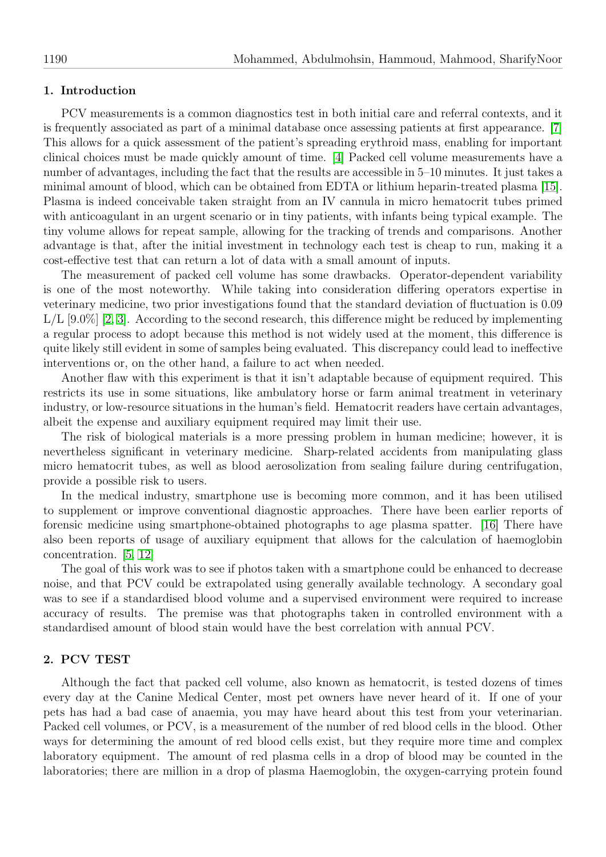## 1. Introduction

PCV measurements is a common diagnostics test in both initial care and referral contexts, and it is frequently associated as part of a minimal database once assessing patients at first appearance. [\[7\]](#page-13-0) This allows for a quick assessment of the patient's spreading erythroid mass, enabling for important clinical choices must be made quickly amount of time. [\[4\]](#page-13-1) Packed cell volume measurements have a number of advantages, including the fact that the results are accessible in 5–10 minutes. It just takes a minimal amount of blood, which can be obtained from EDTA or lithium heparin-treated plasma [\[15\]](#page-14-0). Plasma is indeed conceivable taken straight from an IV cannula in micro hematocrit tubes primed with anticoagulant in an urgent scenario or in tiny patients, with infants being typical example. The tiny volume allows for repeat sample, allowing for the tracking of trends and comparisons. Another advantage is that, after the initial investment in technology each test is cheap to run, making it a cost-effective test that can return a lot of data with a small amount of inputs.

The measurement of packed cell volume has some drawbacks. Operator-dependent variability is one of the most noteworthy. While taking into consideration differing operators expertise in veterinary medicine, two prior investigations found that the standard deviation of fluctuation is 0.09  $L/L$  [9.0%] [\[2,](#page-13-2) [3\]](#page-13-3). According to the second research, this difference might be reduced by implementing a regular process to adopt because this method is not widely used at the moment, this difference is quite likely still evident in some of samples being evaluated. This discrepancy could lead to ineffective interventions or, on the other hand, a failure to act when needed.

Another flaw with this experiment is that it isn't adaptable because of equipment required. This restricts its use in some situations, like ambulatory horse or farm animal treatment in veterinary industry, or low-resource situations in the human's field. Hematocrit readers have certain advantages, albeit the expense and auxiliary equipment required may limit their use.

The risk of biological materials is a more pressing problem in human medicine; however, it is nevertheless significant in veterinary medicine. Sharp-related accidents from manipulating glass micro hematocrit tubes, as well as blood aerosolization from sealing failure during centrifugation, provide a possible risk to users.

In the medical industry, smartphone use is becoming more common, and it has been utilised to supplement or improve conventional diagnostic approaches. There have been earlier reports of forensic medicine using smartphone-obtained photographs to age plasma spatter. [\[16\]](#page-14-1) There have also been reports of usage of auxiliary equipment that allows for the calculation of haemoglobin concentration. [\[5,](#page-13-4) [12\]](#page-13-5)

The goal of this work was to see if photos taken with a smartphone could be enhanced to decrease noise, and that PCV could be extrapolated using generally available technology. A secondary goal was to see if a standardised blood volume and a supervised environment were required to increase accuracy of results. The premise was that photographs taken in controlled environment with a standardised amount of blood stain would have the best correlation with annual PCV.

#### 2. PCV TEST

Although the fact that packed cell volume, also known as hematocrit, is tested dozens of times every day at the Canine Medical Center, most pet owners have never heard of it. If one of your pets has had a bad case of anaemia, you may have heard about this test from your veterinarian. Packed cell volumes, or PCV, is a measurement of the number of red blood cells in the blood. Other ways for determining the amount of red blood cells exist, but they require more time and complex laboratory equipment. The amount of red plasma cells in a drop of blood may be counted in the laboratories; there are million in a drop of plasma Haemoglobin, the oxygen-carrying protein found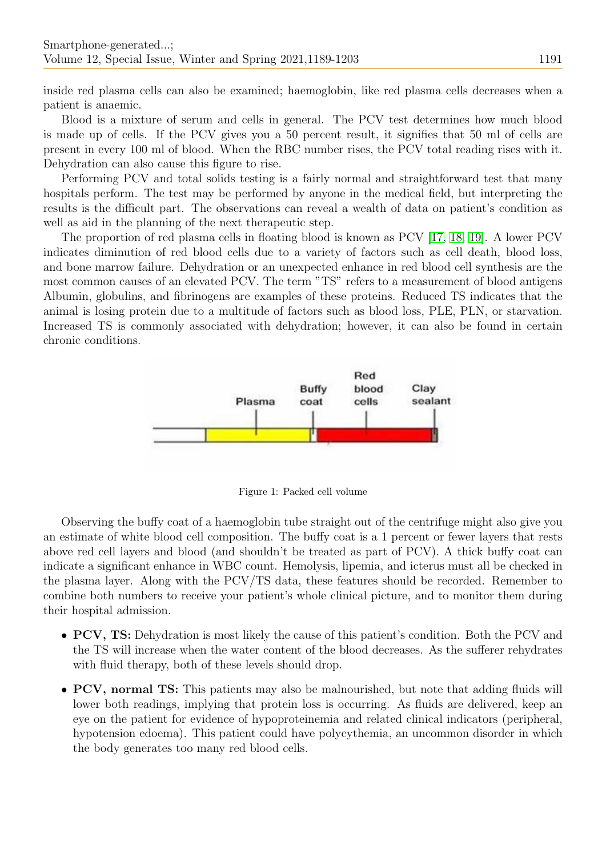inside red plasma cells can also be examined; haemoglobin, like red plasma cells decreases when a patient is anaemic.

Blood is a mixture of serum and cells in general. The PCV test determines how much blood is made up of cells. If the PCV gives you a 50 percent result, it signifies that 50 ml of cells are present in every 100 ml of blood. When the RBC number rises, the PCV total reading rises with it. Dehydration can also cause this figure to rise.

Performing PCV and total solids testing is a fairly normal and straightforward test that many hospitals perform. The test may be performed by anyone in the medical field, but interpreting the results is the difficult part. The observations can reveal a wealth of data on patient's condition as well as aid in the planning of the next therapeutic step.

The proportion of red plasma cells in floating blood is known as PCV [\[17,](#page-14-2) [18,](#page-14-3) [19\]](#page-14-4). A lower PCV indicates diminution of red blood cells due to a variety of factors such as cell death, blood loss, and bone marrow failure. Dehydration or an unexpected enhance in red blood cell synthesis are the most common causes of an elevated PCV. The term "TS" refers to a measurement of blood antigens Albumin, globulins, and fibrinogens are examples of these proteins. Reduced TS indicates that the animal is losing protein due to a multitude of factors such as blood loss, PLE, PLN, or starvation. Increased TS is commonly associated with dehydration; however, it can also be found in certain chronic conditions.



Figure 1: Packed cell volume

Observing the buffy coat of a haemoglobin tube straight out of the centrifuge might also give you an estimate of white blood cell composition. The buffy coat is a 1 percent or fewer layers that rests above red cell layers and blood (and shouldn't be treated as part of PCV). A thick buffy coat can indicate a significant enhance in WBC count. Hemolysis, lipemia, and icterus must all be checked in the plasma layer. Along with the PCV/TS data, these features should be recorded. Remember to combine both numbers to receive your patient's whole clinical picture, and to monitor them during their hospital admission.

- PCV, TS: Dehydration is most likely the cause of this patient's condition. Both the PCV and the TS will increase when the water content of the blood decreases. As the sufferer rehydrates with fluid therapy, both of these levels should drop.
- PCV, normal TS: This patients may also be malnourished, but note that adding fluids will lower both readings, implying that protein loss is occurring. As fluids are delivered, keep an eye on the patient for evidence of hypoproteinemia and related clinical indicators (peripheral, hypotension edoema). This patient could have polycythemia, an uncommon disorder in which the body generates too many red blood cells.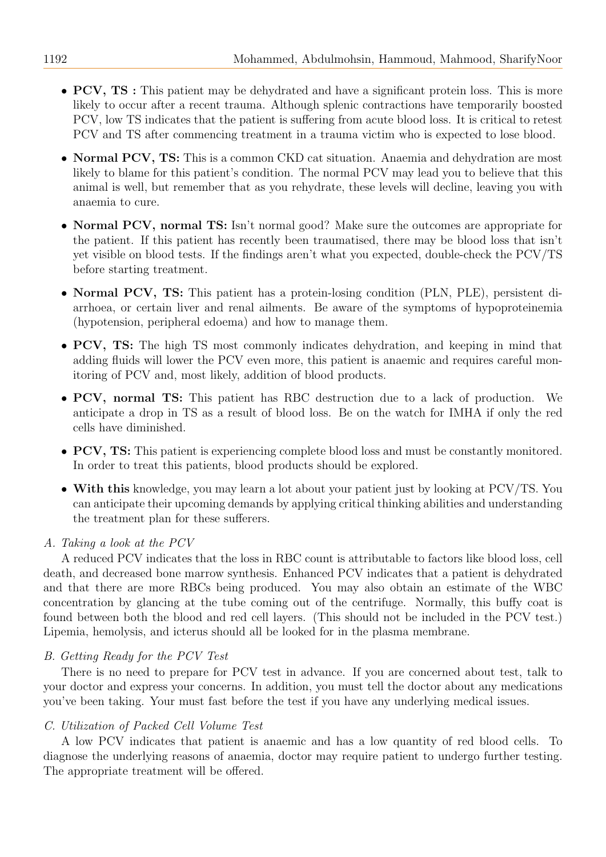- PCV, TS : This patient may be dehydrated and have a significant protein loss. This is more likely to occur after a recent trauma. Although splenic contractions have temporarily boosted PCV, low TS indicates that the patient is suffering from acute blood loss. It is critical to retest PCV and TS after commencing treatment in a trauma victim who is expected to lose blood.
- Normal PCV, TS: This is a common CKD cat situation. Anaemia and dehydration are most likely to blame for this patient's condition. The normal PCV may lead you to believe that this animal is well, but remember that as you rehydrate, these levels will decline, leaving you with anaemia to cure.
- Normal PCV, normal TS: Isn't normal good? Make sure the outcomes are appropriate for the patient. If this patient has recently been traumatised, there may be blood loss that isn't yet visible on blood tests. If the findings aren't what you expected, double-check the PCV/TS before starting treatment.
- Normal PCV, TS: This patient has a protein-losing condition (PLN, PLE), persistent diarrhoea, or certain liver and renal ailments. Be aware of the symptoms of hypoproteinemia (hypotension, peripheral edoema) and how to manage them.
- PCV, TS: The high TS most commonly indicates dehydration, and keeping in mind that adding fluids will lower the PCV even more, this patient is anaemic and requires careful monitoring of PCV and, most likely, addition of blood products.
- PCV, normal TS: This patient has RBC destruction due to a lack of production. We anticipate a drop in TS as a result of blood loss. Be on the watch for IMHA if only the red cells have diminished.
- PCV, TS: This patient is experiencing complete blood loss and must be constantly monitored. In order to treat this patients, blood products should be explored.
- With this knowledge, you may learn a lot about your patient just by looking at PCV/TS. You can anticipate their upcoming demands by applying critical thinking abilities and understanding the treatment plan for these sufferers.

# A. Taking a look at the PCV

A reduced PCV indicates that the loss in RBC count is attributable to factors like blood loss, cell death, and decreased bone marrow synthesis. Enhanced PCV indicates that a patient is dehydrated and that there are more RBCs being produced. You may also obtain an estimate of the WBC concentration by glancing at the tube coming out of the centrifuge. Normally, this buffy coat is found between both the blood and red cell layers. (This should not be included in the PCV test.) Lipemia, hemolysis, and icterus should all be looked for in the plasma membrane.

# B. Getting Ready for the PCV Test

There is no need to prepare for PCV test in advance. If you are concerned about test, talk to your doctor and express your concerns. In addition, you must tell the doctor about any medications you've been taking. Your must fast before the test if you have any underlying medical issues.

# C. Utilization of Packed Cell Volume Test

A low PCV indicates that patient is anaemic and has a low quantity of red blood cells. To diagnose the underlying reasons of anaemia, doctor may require patient to undergo further testing. The appropriate treatment will be offered.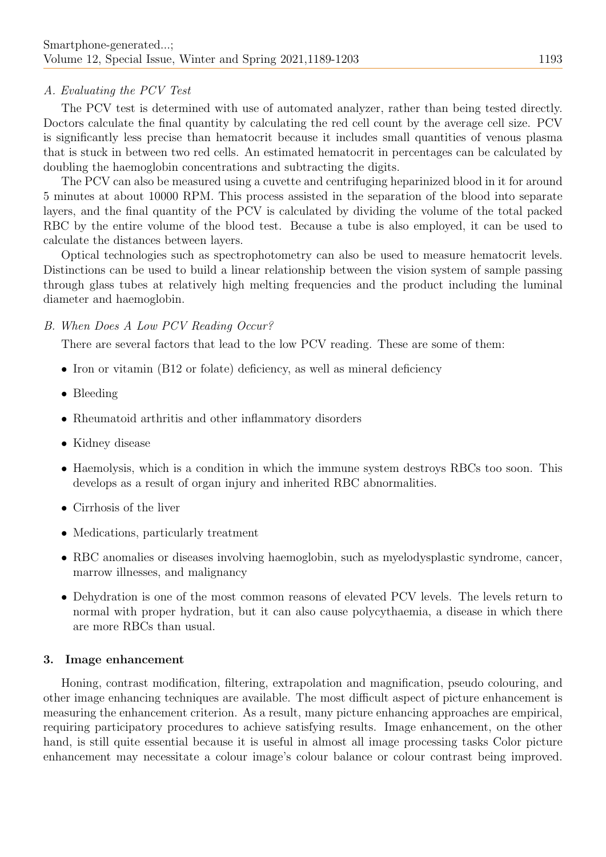## A. Evaluating the PCV Test

The PCV test is determined with use of automated analyzer, rather than being tested directly. Doctors calculate the final quantity by calculating the red cell count by the average cell size. PCV is significantly less precise than hematocrit because it includes small quantities of venous plasma that is stuck in between two red cells. An estimated hematocrit in percentages can be calculated by doubling the haemoglobin concentrations and subtracting the digits.

The PCV can also be measured using a cuvette and centrifuging heparinized blood in it for around 5 minutes at about 10000 RPM. This process assisted in the separation of the blood into separate layers, and the final quantity of the PCV is calculated by dividing the volume of the total packed RBC by the entire volume of the blood test. Because a tube is also employed, it can be used to calculate the distances between layers.

Optical technologies such as spectrophotometry can also be used to measure hematocrit levels. Distinctions can be used to build a linear relationship between the vision system of sample passing through glass tubes at relatively high melting frequencies and the product including the luminal diameter and haemoglobin.

#### B. When Does A Low PCV Reading Occur?

There are several factors that lead to the low PCV reading. These are some of them:

- Iron or vitamin (B12 or folate) deficiency, as well as mineral deficiency
- Bleeding
- Rheumatoid arthritis and other inflammatory disorders
- Kidney disease
- Haemolysis, which is a condition in which the immune system destroys RBCs too soon. This develops as a result of organ injury and inherited RBC abnormalities.
- Cirrhosis of the liver
- Medications, particularly treatment
- RBC anomalies or diseases involving haemoglobin, such as myelodysplastic syndrome, cancer, marrow illnesses, and malignancy
- Dehydration is one of the most common reasons of elevated PCV levels. The levels return to normal with proper hydration, but it can also cause polycythaemia, a disease in which there are more RBCs than usual.

#### 3. Image enhancement

Honing, contrast modification, filtering, extrapolation and magnification, pseudo colouring, and other image enhancing techniques are available. The most difficult aspect of picture enhancement is measuring the enhancement criterion. As a result, many picture enhancing approaches are empirical, requiring participatory procedures to achieve satisfying results. Image enhancement, on the other hand, is still quite essential because it is useful in almost all image processing tasks Color picture enhancement may necessitate a colour image's colour balance or colour contrast being improved.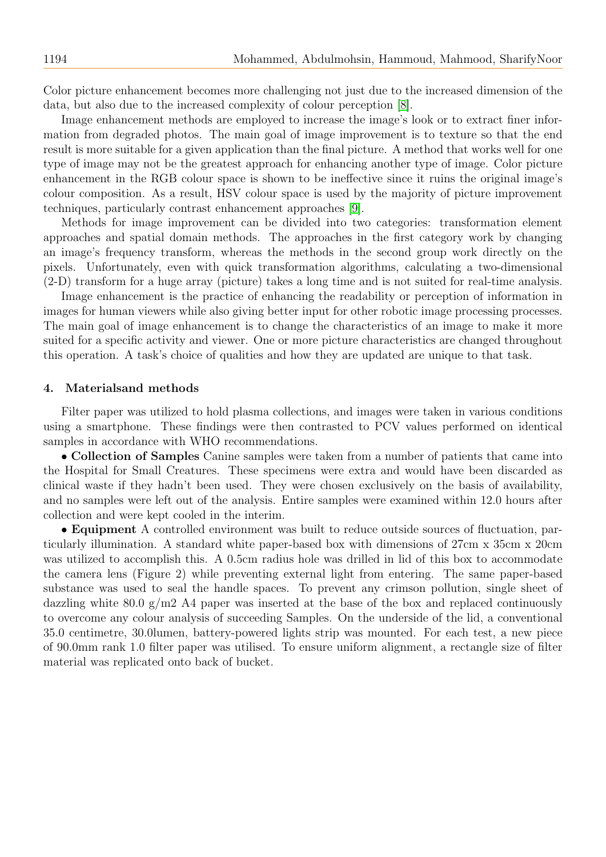Color picture enhancement becomes more challenging not just due to the increased dimension of the data, but also due to the increased complexity of colour perception [\[8\]](#page-13-6).

Image enhancement methods are employed to increase the image's look or to extract finer information from degraded photos. The main goal of image improvement is to texture so that the end result is more suitable for a given application than the final picture. A method that works well for one type of image may not be the greatest approach for enhancing another type of image. Color picture enhancement in the RGB colour space is shown to be ineffective since it ruins the original image's colour composition. As a result, HSV colour space is used by the majority of picture improvement techniques, particularly contrast enhancement approaches [\[9\]](#page-13-7).

Methods for image improvement can be divided into two categories: transformation element approaches and spatial domain methods. The approaches in the first category work by changing an image's frequency transform, whereas the methods in the second group work directly on the pixels. Unfortunately, even with quick transformation algorithms, calculating a two-dimensional (2-D) transform for a huge array (picture) takes a long time and is not suited for real-time analysis.

Image enhancement is the practice of enhancing the readability or perception of information in images for human viewers while also giving better input for other robotic image processing processes. The main goal of image enhancement is to change the characteristics of an image to make it more suited for a specific activity and viewer. One or more picture characteristics are changed throughout this operation. A task's choice of qualities and how they are updated are unique to that task.

#### 4. Materialsand methods

Filter paper was utilized to hold plasma collections, and images were taken in various conditions using a smartphone. These findings were then contrasted to PCV values performed on identical samples in accordance with WHO recommendations.

• Collection of Samples Canine samples were taken from a number of patients that came into the Hospital for Small Creatures. These specimens were extra and would have been discarded as clinical waste if they hadn't been used. They were chosen exclusively on the basis of availability, and no samples were left out of the analysis. Entire samples were examined within 12.0 hours after collection and were kept cooled in the interim.

• Equipment A controlled environment was built to reduce outside sources of fluctuation, particularly illumination. A standard white paper-based box with dimensions of 27cm x 35cm x 20cm was utilized to accomplish this. A 0.5cm radius hole was drilled in lid of this box to accommodate the camera lens (Figure 2) while preventing external light from entering. The same paper-based substance was used to seal the handle spaces. To prevent any crimson pollution, single sheet of dazzling white 80.0  $g/m2$  A4 paper was inserted at the base of the box and replaced continuously to overcome any colour analysis of succeeding Samples. On the underside of the lid, a conventional 35.0 centimetre, 30.0lumen, battery-powered lights strip was mounted. For each test, a new piece of 90.0mm rank 1.0 filter paper was utilised. To ensure uniform alignment, a rectangle size of filter material was replicated onto back of bucket.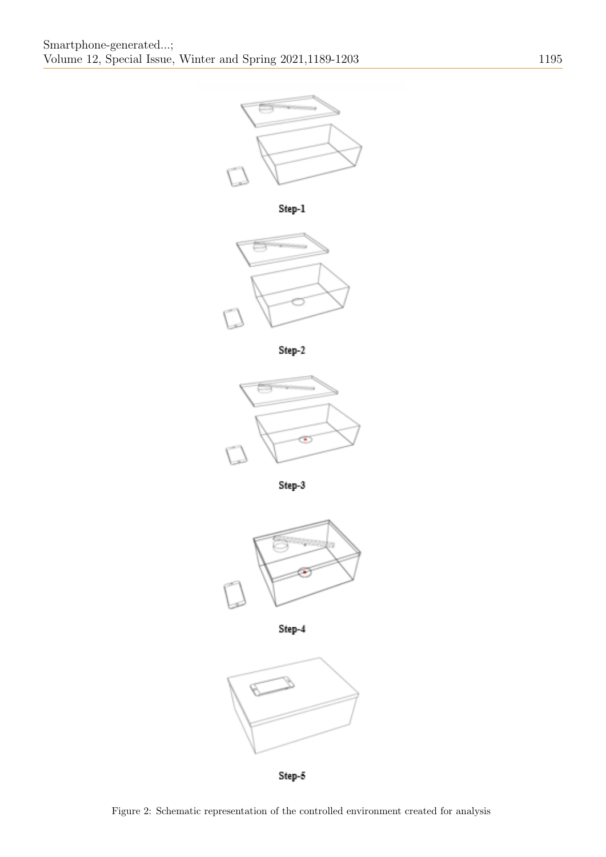















Step-5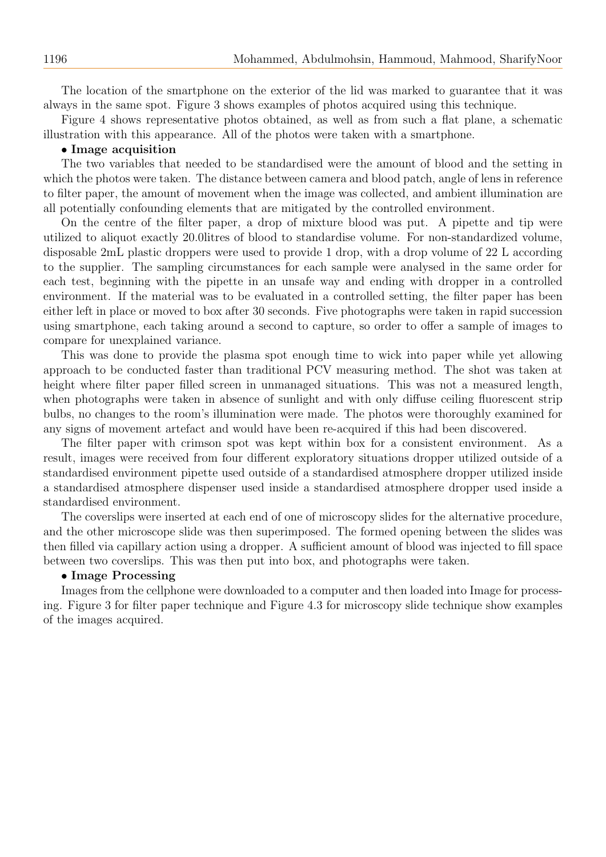The location of the smartphone on the exterior of the lid was marked to guarantee that it was always in the same spot. Figure 3 shows examples of photos acquired using this technique.

Figure 4 shows representative photos obtained, as well as from such a flat plane, a schematic illustration with this appearance. All of the photos were taken with a smartphone.

## • Image acquisition

The two variables that needed to be standardised were the amount of blood and the setting in which the photos were taken. The distance between camera and blood patch, angle of lens in reference to filter paper, the amount of movement when the image was collected, and ambient illumination are all potentially confounding elements that are mitigated by the controlled environment.

On the centre of the filter paper, a drop of mixture blood was put. A pipette and tip were utilized to aliquot exactly 20.0litres of blood to standardise volume. For non-standardized volume, disposable 2mL plastic droppers were used to provide 1 drop, with a drop volume of 22 L according to the supplier. The sampling circumstances for each sample were analysed in the same order for each test, beginning with the pipette in an unsafe way and ending with dropper in a controlled environment. If the material was to be evaluated in a controlled setting, the filter paper has been either left in place or moved to box after 30 seconds. Five photographs were taken in rapid succession using smartphone, each taking around a second to capture, so order to offer a sample of images to compare for unexplained variance.

This was done to provide the plasma spot enough time to wick into paper while yet allowing approach to be conducted faster than traditional PCV measuring method. The shot was taken at height where filter paper filled screen in unmanaged situations. This was not a measured length, when photographs were taken in absence of sunlight and with only diffuse ceiling fluorescent strip bulbs, no changes to the room's illumination were made. The photos were thoroughly examined for any signs of movement artefact and would have been re-acquired if this had been discovered.

The filter paper with crimson spot was kept within box for a consistent environment. As a result, images were received from four different exploratory situations dropper utilized outside of a standardised environment pipette used outside of a standardised atmosphere dropper utilized inside a standardised atmosphere dispenser used inside a standardised atmosphere dropper used inside a standardised environment.

The coverslips were inserted at each end of one of microscopy slides for the alternative procedure, and the other microscope slide was then superimposed. The formed opening between the slides was then filled via capillary action using a dropper. A sufficient amount of blood was injected to fill space between two coverslips. This was then put into box, and photographs were taken.

#### • Image Processing

Images from the cellphone were downloaded to a computer and then loaded into Image for processing. Figure 3 for filter paper technique and Figure 4.3 for microscopy slide technique show examples of the images acquired.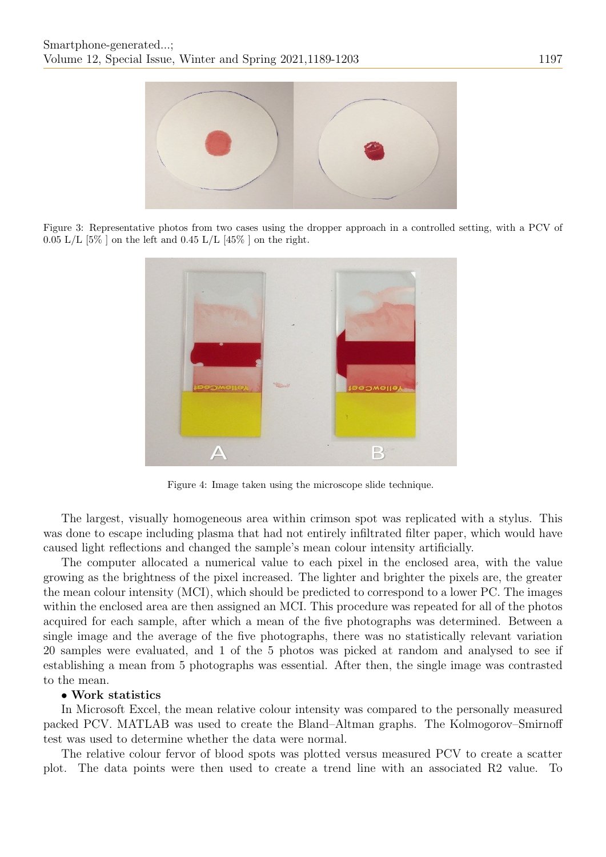

Figure 3: Representative photos from two cases using the dropper approach in a controlled setting, with a PCV of  $0.05$  L/L [5\% ] on the left and  $0.45$  L/L [45\% ] on the right.



Figure 4: Image taken using the microscope slide technique.

The largest, visually homogeneous area within crimson spot was replicated with a stylus. This was done to escape including plasma that had not entirely infiltrated filter paper, which would have caused light reflections and changed the sample's mean colour intensity artificially.

The computer allocated a numerical value to each pixel in the enclosed area, with the value growing as the brightness of the pixel increased. The lighter and brighter the pixels are, the greater the mean colour intensity (MCI), which should be predicted to correspond to a lower PC. The images within the enclosed area are then assigned an MCI. This procedure was repeated for all of the photos acquired for each sample, after which a mean of the five photographs was determined. Between a single image and the average of the five photographs, there was no statistically relevant variation 20 samples were evaluated, and 1 of the 5 photos was picked at random and analysed to see if establishing a mean from 5 photographs was essential. After then, the single image was contrasted to the mean.

# • Work statistics

In Microsoft Excel, the mean relative colour intensity was compared to the personally measured packed PCV. MATLAB was used to create the Bland–Altman graphs. The Kolmogorov–Smirnoff test was used to determine whether the data were normal.

The relative colour fervor of blood spots was plotted versus measured PCV to create a scatter plot. The data points were then used to create a trend line with an associated R2 value. To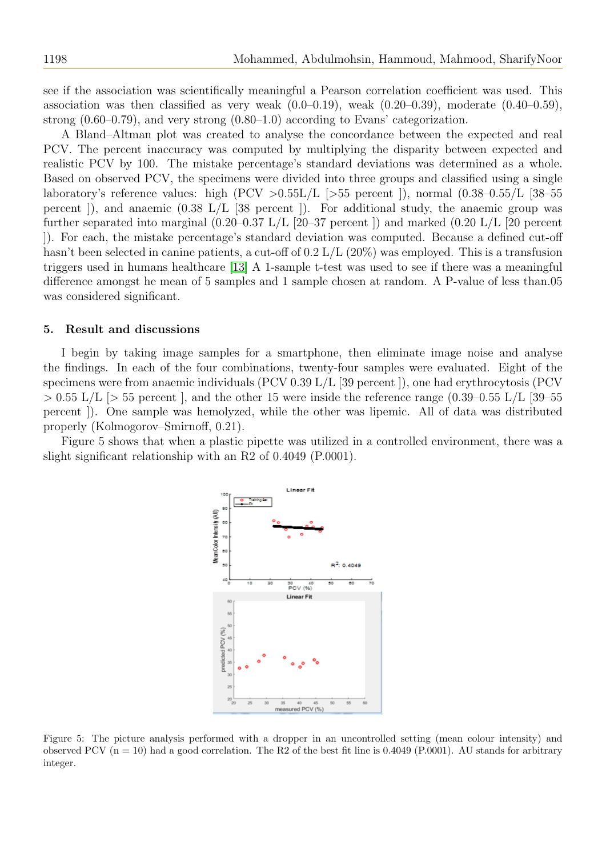see if the association was scientifically meaningful a Pearson correlation coefficient was used. This association was then classified as very weak  $(0.0-0.19)$ , weak  $(0.20-0.39)$ , moderate  $(0.40-0.59)$ , strong  $(0.60-0.79)$ , and very strong  $(0.80-1.0)$  according to Evans' categorization.

A Bland–Altman plot was created to analyse the concordance between the expected and real PCV. The percent inaccuracy was computed by multiplying the disparity between expected and realistic PCV by 100. The mistake percentage's standard deviations was determined as a whole. Based on observed PCV, the specimens were divided into three groups and classified using a single laboratory's reference values: high (PCV  $>0.55L/L$  [ $>55$  percent ]), normal (0.38–0.55/L [38–55 percent ]), and anaemic  $(0.38 \text{ L/L} \ 38 \text{ percent})$ . For additional study, the anaemic group was further separated into marginal (0.20–0.37 L/L [20–37 percent ]) and marked (0.20 L/L [20 percent ]). For each, the mistake percentage's standard deviation was computed. Because a defined cut-off hasn't been selected in canine patients, a cut-off of 0.2 L/L (20%) was employed. This is a transfusion triggers used in humans healthcare [\[13\]](#page-13-8) A 1-sample t-test was used to see if there was a meaningful difference amongst he mean of 5 samples and 1 sample chosen at random. A P-value of less than.05 was considered significant.

# 5. Result and discussions

I begin by taking image samples for a smartphone, then eliminate image noise and analyse the findings. In each of the four combinations, twenty-four samples were evaluated. Eight of the specimens were from anaemic individuals (PCV 0.39 L/L [39 percent ]), one had erythrocytosis (PCV  $> 0.55$  L/L  $\geq 55$  percent, and the other 15 were inside the reference range (0.39–0.55 L/L [39–55] percent ]). One sample was hemolyzed, while the other was lipemic. All of data was distributed properly (Kolmogorov–Smirnoff, 0.21).

Figure 5 shows that when a plastic pipette was utilized in a controlled environment, there was a slight significant relationship with an R2 of 0.4049 (P.0001).



Figure 5: The picture analysis performed with a dropper in an uncontrolled setting (mean colour intensity) and observed PCV  $(n = 10)$  had a good correlation. The R2 of the best fit line is 0.4049 (P.0001). AU stands for arbitrary integer.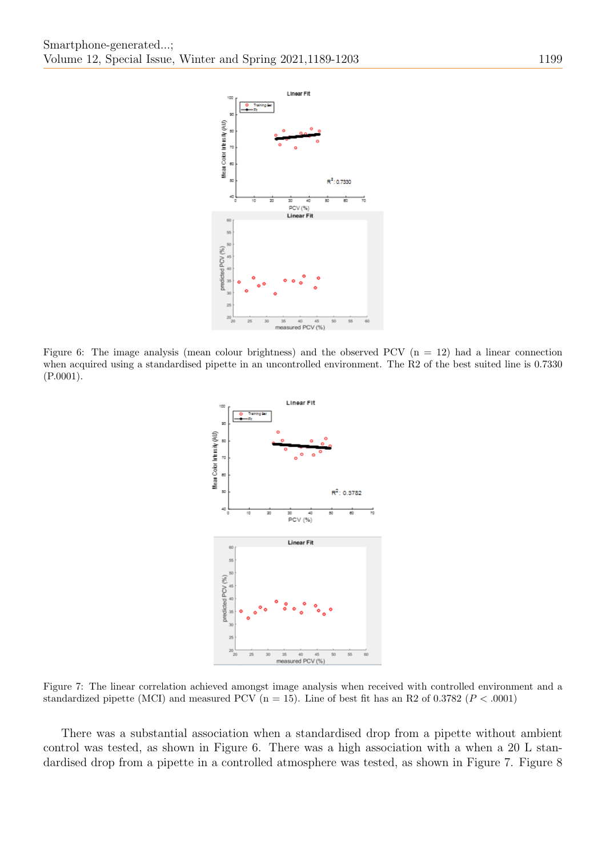

Figure 6: The image analysis (mean colour brightness) and the observed PCV  $(n = 12)$  had a linear connection when acquired using a standardised pipette in an uncontrolled environment. The R2 of the best suited line is 0.7330 (P.0001).



Figure 7: The linear correlation achieved amongst image analysis when received with controlled environment and a standardized pipette (MCI) and measured PCV (n = 15). Line of best fit has an R2 of 0.3782 ( $P < .0001$ )

There was a substantial association when a standardised drop from a pipette without ambient control was tested, as shown in Figure 6. There was a high association with a when a 20 L standardised drop from a pipette in a controlled atmosphere was tested, as shown in Figure 7. Figure 8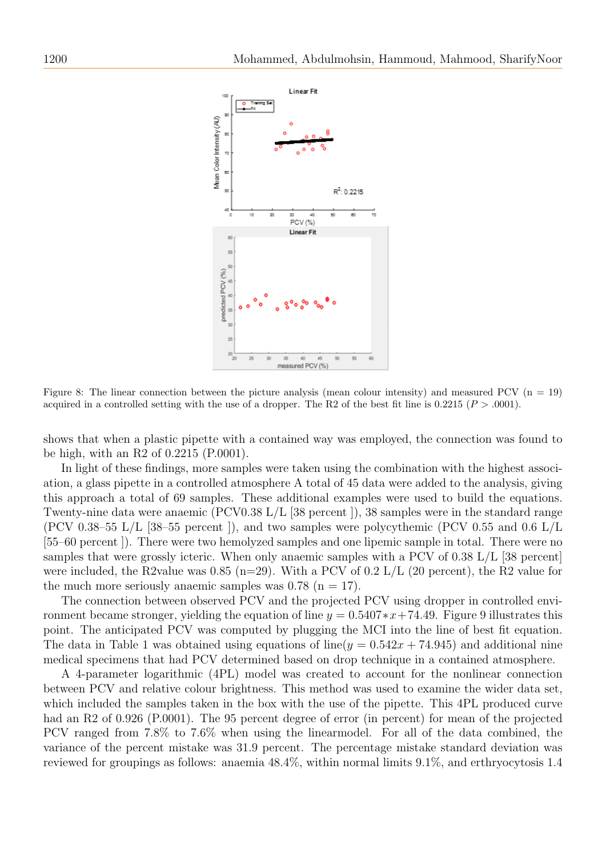

Figure 8: The linear connection between the picture analysis (mean colour intensity) and measured PCV  $(n = 19)$ acquired in a controlled setting with the use of a dropper. The R2 of the best fit line is  $0.2215$  ( $P > .0001$ ).

shows that when a plastic pipette with a contained way was employed, the connection was found to be high, with an R2 of 0.2215 (P.0001).

In light of these findings, more samples were taken using the combination with the highest association, a glass pipette in a controlled atmosphere A total of 45 data were added to the analysis, giving this approach a total of 69 samples. These additional examples were used to build the equations. Twenty-nine data were anaemic (PCV0.38 L/L [38 percent ]), 38 samples were in the standard range (PCV 0.38–55 L/L [38–55 percent ]), and two samples were polycythemic (PCV 0.55 and 0.6 L/L [55–60 percent ]). There were two hemolyzed samples and one lipemic sample in total. There were no samples that were grossly icteric. When only anaemic samples with a PCV of 0.38  $L/L$  [38 percent] were included, the R2value was 0.85 (n=29). With a PCV of 0.2 L/L (20 percent), the R2 value for the much more seriously anaemic samples was  $0.78$  (n = 17).

The connection between observed PCV and the projected PCV using dropper in controlled environment became stronger, yielding the equation of line  $y = 0.5407*x+74.49$ . Figure 9 illustrates this point. The anticipated PCV was computed by plugging the MCI into the line of best fit equation. The data in Table 1 was obtained using equations of line( $y = 0.542x + 74.945$ ) and additional nine medical specimens that had PCV determined based on drop technique in a contained atmosphere.

A 4-parameter logarithmic (4PL) model was created to account for the nonlinear connection between PCV and relative colour brightness. This method was used to examine the wider data set, which included the samples taken in the box with the use of the pipette. This 4PL produced curve had an R2 of 0.926 (P.0001). The 95 percent degree of error (in percent) for mean of the projected PCV ranged from 7.8% to 7.6% when using the linearmodel. For all of the data combined, the variance of the percent mistake was 31.9 percent. The percentage mistake standard deviation was reviewed for groupings as follows: anaemia 48.4%, within normal limits 9.1%, and erthryocytosis 1.4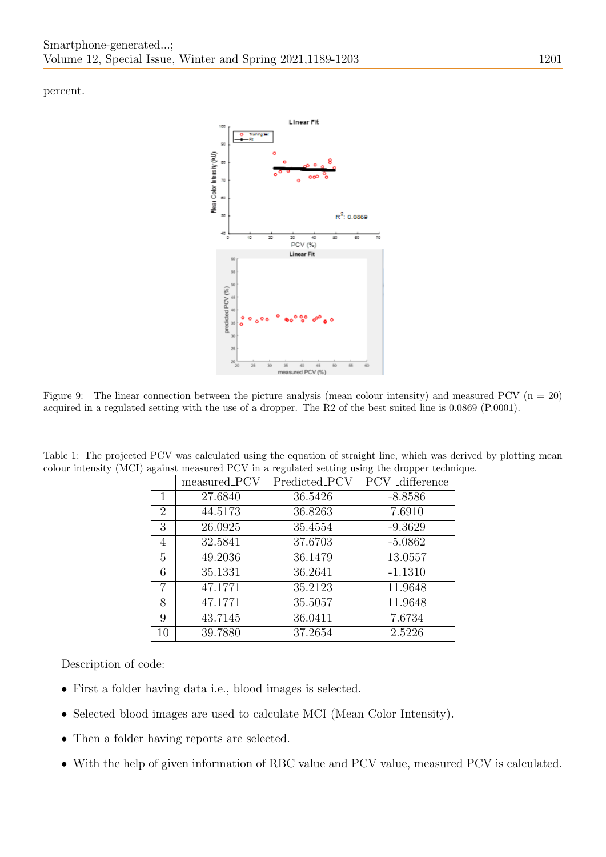percent.



Figure 9: The linear connection between the picture analysis (mean colour intensity) and measured PCV  $(n = 20)$ acquired in a regulated setting with the use of a dropper. The R2 of the best suited line is 0.0869 (P.0001).

|                | measured_PCV | Predicted_PCV | PCV _difference |
|----------------|--------------|---------------|-----------------|
| 1              | 27.6840      | 36.5426       | $-8.8586$       |
|                |              |               |                 |
| $\overline{2}$ | 44.5173      | 36.8263       | 7.6910          |
| 3              | 26.0925      | 35.4554       | $-9.3629$       |
| 4              | 32.5841      | 37.6703       | $-5.0862$       |
| 5              | 49.2036      | 36.1479       | 13.0557         |
| 6              | 35.1331      | 36.2641       | $-1.1310$       |
| 7              | 47.1771      | 35.2123       | 11.9648         |
| 8              | 47.1771      | 35.5057       | 11.9648         |
| 9              | 43.7145      | 36.0411       | 7.6734          |
| 10             | 39.7880      | 37.2654       | 2.5226          |

Table 1: The projected PCV was calculated using the equation of straight line, which was derived by plotting mean colour intensity (MCI) against measured PCV in a regulated setting using the dropper technique.

Description of code:

- First a folder having data i.e., blood images is selected.
- Selected blood images are used to calculate MCI (Mean Color Intensity).
- Then a folder having reports are selected.
- With the help of given information of RBC value and PCV value, measured PCV is calculated.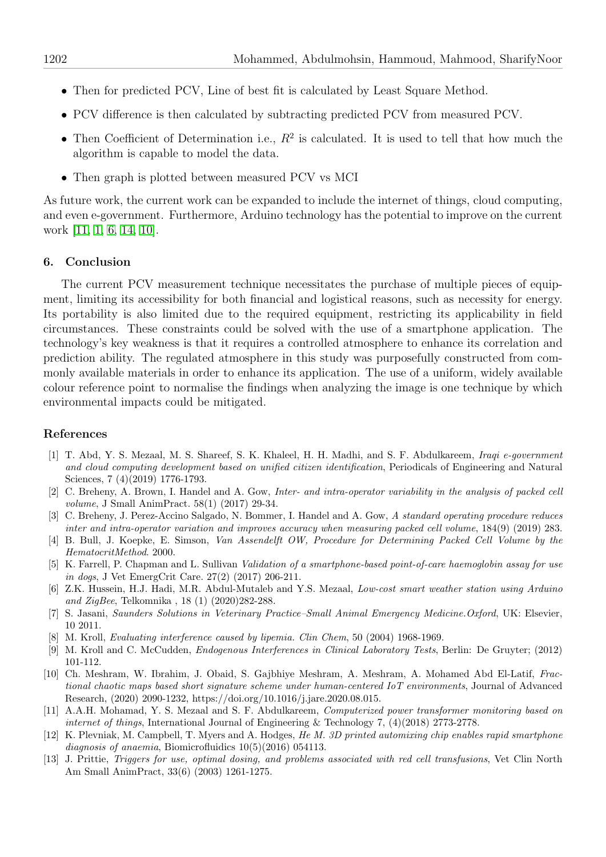- Then for predicted PCV, Line of best fit is calculated by Least Square Method.
- PCV difference is then calculated by subtracting predicted PCV from measured PCV.
- Then Coefficient of Determination i.e.,  $R^2$  is calculated. It is used to tell that how much the algorithm is capable to model the data.
- Then graph is plotted between measured PCV vs MCI

As future work, the current work can be expanded to include the internet of things, cloud computing, and even e-government. Furthermore, Arduino technology has the potential to improve on the current work [\[11,](#page-13-9) [1,](#page-13-10) [6,](#page-13-11) [14,](#page-14-5) [10\]](#page-13-12).

#### 6. Conclusion

The current PCV measurement technique necessitates the purchase of multiple pieces of equipment, limiting its accessibility for both financial and logistical reasons, such as necessity for energy. Its portability is also limited due to the required equipment, restricting its applicability in field circumstances. These constraints could be solved with the use of a smartphone application. The technology's key weakness is that it requires a controlled atmosphere to enhance its correlation and prediction ability. The regulated atmosphere in this study was purposefully constructed from commonly available materials in order to enhance its application. The use of a uniform, widely available colour reference point to normalise the findings when analyzing the image is one technique by which environmental impacts could be mitigated.

#### References

- <span id="page-13-10"></span>[1] T. Abd, Y. S. Mezaal, M. S. Shareef, S. K. Khaleel, H. H. Madhi, and S. F. Abdulkareem, Iraqi e-government and cloud computing development based on unified citizen identification, Periodicals of Engineering and Natural Sciences, 7 (4)(2019) 1776-1793.
- <span id="page-13-2"></span>[2] C. Breheny, A. Brown, I. Handel and A. Gow, Inter- and intra-operator variability in the analysis of packed cell volume, J Small AnimPract. 58(1) (2017) 29-34.
- <span id="page-13-3"></span>[3] C. Breheny, J. Perez-Accino Salgado, N. Bommer, I. Handel and A. Gow, A standard operating procedure reduces inter and intra-operator variation and improves accuracy when measuring packed cell volume, 184(9) (2019) 283.
- <span id="page-13-1"></span>[4] B. Bull, J. Koepke, E. Simson, Van Assendelft OW, Procedure for Determining Packed Cell Volume by the HematocritMethod. 2000.
- <span id="page-13-4"></span>[5] K. Farrell, P. Chapman and L. Sullivan Validation of a smartphone-based point-of-care haemoglobin assay for use in dogs, J Vet EmergCrit Care. 27(2) (2017) 206-211.
- <span id="page-13-11"></span>[6] Z.K. Hussein, H.J. Hadi, M.R. Abdul-Mutaleb and Y.S. Mezaal, Low-cost smart weather station using Arduino and ZigBee, Telkomnika , 18 (1) (2020)282-288.
- <span id="page-13-0"></span>[7] S. Jasani, Saunders Solutions in Veterinary Practice–Small Animal Emergency Medicine.Oxford, UK: Elsevier, 10 2011.
- <span id="page-13-6"></span>M. Kroll, Evaluating interference caused by lipemia. Clin Chem, 50 (2004) 1968-1969.
- <span id="page-13-7"></span>[9] M. Kroll and C. McCudden, Endogenous Interferences in Clinical Laboratory Tests, Berlin: De Gruyter; (2012) 101-112.
- <span id="page-13-12"></span>[10] Ch. Meshram, W. Ibrahim, J. Obaid, S. Gajbhiye Meshram, A. Meshram, A. Mohamed Abd El-Latif, Fractional chaotic maps based short signature scheme under human-centered IoT environments, Journal of Advanced Research, (2020) 2090-1232, https://doi.org/10.1016/j.jare.2020.08.015.
- <span id="page-13-9"></span>[11] A.A.H. Mohamad, Y. S. Mezaal and S. F. Abdulkareem, Computerized power transformer monitoring based on internet of things, International Journal of Engineering & Technology 7,  $(4)(2018)$  2773-2778.
- <span id="page-13-5"></span>[12] K. Plevniak, M. Campbell, T. Myers and A. Hodges, He M. 3D printed automixing chip enables rapid smartphone diagnosis of anaemia, Biomicrofluidics  $10(5)(2016)$  054113.
- <span id="page-13-8"></span>[13] J. Prittie, Triggers for use, optimal dosing, and problems associated with red cell transfusions, Vet Clin North Am Small AnimPract, 33(6) (2003) 1261-1275.